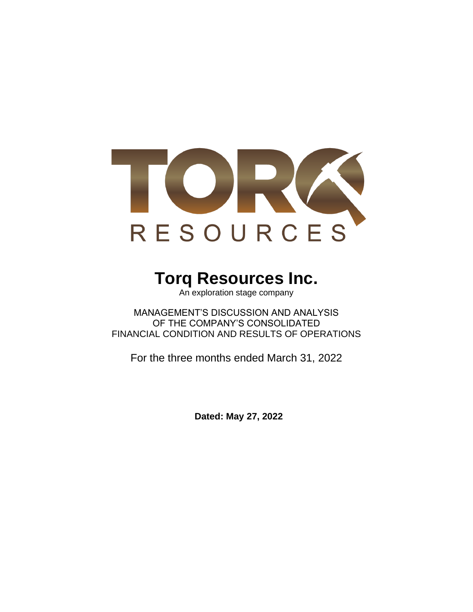

# **Torq Resources Inc.**

An exploration stage company

MANAGEMENT'S DISCUSSION AND ANALYSIS OF THE COMPANY'S CONSOLIDATED FINANCIAL CONDITION AND RESULTS OF OPERATIONS

For the three months ended March 31, 2022

**Dated: May 27, 2022**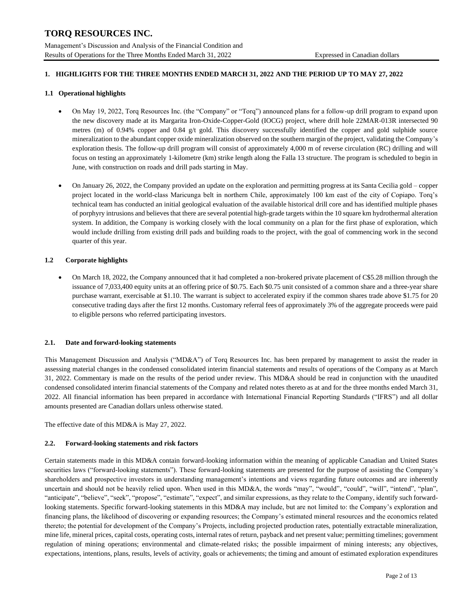# **1. HIGHLIGHTS FOR THE THREE MONTHS ENDED MARCH 31, 2022 AND THE PERIOD UP TO MAY 27, 2022**

## **1.1 Operational highlights**

- On May 19, 2022, Torq Resources Inc. (the "Company" or "Torq") announced plans for a follow-up drill program to expand upon the new discovery made at its Margarita Iron-Oxide-Copper-Gold (IOCG) project, where drill hole 22MAR-013R intersected 90 metres (m) of 0.94% copper and 0.84 g/t gold. This discovery successfully identified the copper and gold sulphide source mineralization to the abundant copper oxide mineralization observed on the southern margin of the project, validating the Company's exploration thesis. The follow-up drill program will consist of approximately 4,000 m of reverse circulation (RC) drilling and will focus on testing an approximately 1-kilometre (km) strike length along the Falla 13 structure. The program is scheduled to begin in June, with construction on roads and drill pads starting in May.
- On January 26, 2022, the Company provided an update on the exploration and permitting progress at its Santa Cecilia gold copper project located in the world-class Maricunga belt in northern Chile, approximately 100 km east of the city of Copiapo. Torq's technical team has conducted an initial geological evaluation of the available historical drill core and has identified multiple phases of porphyry intrusions and believes that there are several potential high-grade targets within the 10 square km hydrothermal alteration system. In addition, the Company is working closely with the local community on a plan for the first phase of exploration, which would include drilling from existing drill pads and building roads to the project, with the goal of commencing work in the second quarter of this year.

#### **1.2 Corporate highlights**

• On March 18, 2022, the Company announced that it had completed a non-brokered private placement of C\$5.28 million through the issuance of 7,033,400 equity units at an offering price of \$0.75. Each \$0.75 unit consisted of a common share and a three-year share purchase warrant, exercisable at \$1.10. The warrant is subject to accelerated expiry if the common shares trade above \$1.75 for 20 consecutive trading days after the first 12 months. Customary referral fees of approximately 3% of the aggregate proceeds were paid to eligible persons who referred participating investors.

#### **2.1. Date and forward-looking statements**

This Management Discussion and Analysis ("MD&A") of Torq Resources Inc. has been prepared by management to assist the reader in assessing material changes in the condensed consolidated interim financial statements and results of operations of the Company as at March 31, 2022. Commentary is made on the results of the period under review. This MD&A should be read in conjunction with the unaudited condensed consolidated interim financial statements of the Company and related notes thereto as at and for the three months ended March 31, 2022. All financial information has been prepared in accordance with International Financial Reporting Standards ("IFRS") and all dollar amounts presented are Canadian dollars unless otherwise stated.

The effective date of this MD&A is May 27, 2022.

#### **2.2. Forward-looking statements and risk factors**

Certain statements made in this MD&A contain forward-looking information within the meaning of applicable Canadian and United States securities laws ("forward-looking statements"). These forward-looking statements are presented for the purpose of assisting the Company's shareholders and prospective investors in understanding management's intentions and views regarding future outcomes and are inherently uncertain and should not be heavily relied upon. When used in this MD&A, the words "may", "would", "could", "will", "intend", "plan", "anticipate", "believe", "seek", "propose", "estimate", "expect", and similar expressions, as they relate to the Company, identify such forwardlooking statements. Specific forward-looking statements in this MD&A may include, but are not limited to: the Company's exploration and financing plans, the likelihood of discovering or expanding resources; the Company's estimated mineral resources and the economics related thereto; the potential for development of the Company's Projects, including projected production rates, potentially extractable mineralization, mine life, mineral prices, capital costs, operating costs, internal rates of return, payback and net present value; permitting timelines; government regulation of mining operations; environmental and climate-related risks; the possible impairment of mining interests; any objectives, expectations, intentions, plans, results, levels of activity, goals or achievements; the timing and amount of estimated exploration expenditures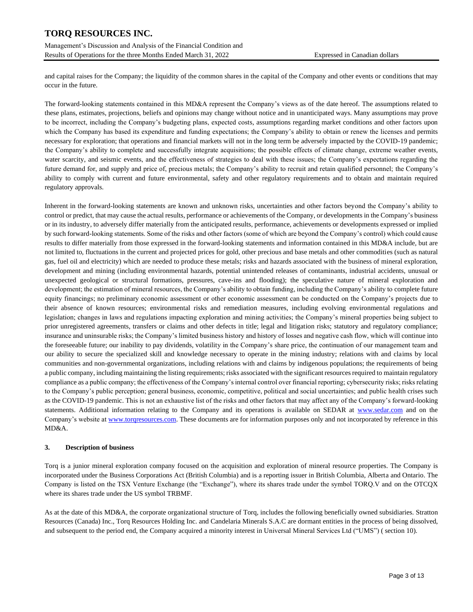Management's Discussion and Analysis of the Financial Condition and Results of Operations for the three Months Ended March 31, 2022 Expressed in Canadian dollars

and capital raises for the Company; the liquidity of the common shares in the capital of the Company and other events or conditions that may occur in the future.

The forward-looking statements contained in this MD&A represent the Company's views as of the date hereof. The assumptions related to these plans, estimates, projections, beliefs and opinions may change without notice and in unanticipated ways. Many assumptions may prove to be incorrect, including the Company's budgeting plans, expected costs, assumptions regarding market conditions and other factors upon which the Company has based its expenditure and funding expectations; the Company's ability to obtain or renew the licenses and permits necessary for exploration; that operations and financial markets will not in the long term be adversely impacted by the COVID-19 pandemic; the Company's ability to complete and successfully integrate acquisitions; the possible effects of climate change, extreme weather events, water scarcity, and seismic events, and the effectiveness of strategies to deal with these issues; the Company's expectations regarding the future demand for, and supply and price of, precious metals; the Company's ability to recruit and retain qualified personnel; the Company's ability to comply with current and future environmental, safety and other regulatory requirements and to obtain and maintain required regulatory approvals.

Inherent in the forward-looking statements are known and unknown risks, uncertainties and other factors beyond the Company's ability to control or predict, that may cause the actual results, performance or achievements of the Company, or developments in the Company's business or in its industry, to adversely differ materially from the anticipated results, performance, achievements or developments expressed or implied by such forward-looking statements. Some of the risks and other factors (some of which are beyond the Company's control) which could cause results to differ materially from those expressed in the forward-looking statements and information contained in this MD&A include, but are not limited to, fluctuations in the current and projected prices for gold, other precious and base metals and other commodities (such as natural gas, fuel oil and electricity) which are needed to produce these metals; risks and hazards associated with the business of mineral exploration, development and mining (including environmental hazards, potential unintended releases of contaminants, industrial accidents, unusual or unexpected geological or structural formations, pressures, cave-ins and flooding); the speculative nature of mineral exploration and development; the estimation of mineral resources, the Company's ability to obtain funding, including the Company's ability to complete future equity financings; no preliminary economic assessment or other economic assessment can be conducted on the Company's projects due to their absence of known resources; environmental risks and remediation measures, including evolving environmental regulations and legislation; changes in laws and regulations impacting exploration and mining activities; the Company's mineral properties being subject to prior unregistered agreements, transfers or claims and other defects in title; legal and litigation risks; statutory and regulatory compliance; insurance and uninsurable risks; the Company's limited business history and history of losses and negative cash flow, which will continue into the foreseeable future; our inability to pay dividends, volatility in the Company's share price, the continuation of our management team and our ability to secure the specialized skill and knowledge necessary to operate in the mining industry; relations with and claims by local communities and non-governmental organizations, including relations with and claims by indigenous populations; the requirements of being a public company, including maintaining the listing requirements; risks associated with the significant resources required to maintain regulatory compliance as a public company; the effectiveness of the Company's internal control over financial reporting; cybersecurity risks; risks relating to the Company's public perception; general business, economic, competitive, political and social uncertainties; and public health crises such as the COVID-19 pandemic. This is not an exhaustive list of the risks and other factors that may affect any of the Company's forward-looking statements. Additional information relating to the Company and its operations is available on SEDAR at [www.sedar.com](http://www.sedar.com/) and on the Company's website at [www.torqresources.com.](http://www.torqresources.com/) These documents are for information purposes only and not incorporated by reference in this MD&A.

# **3. Description of business**

Torq is a junior mineral exploration company focused on the acquisition and exploration of mineral resource properties. The Company is incorporated under the Business Corporations Act (British Columbia) and is a reporting issuer in British Columbia, Alberta and Ontario. The Company is listed on the TSX Venture Exchange (the "Exchange"), where its shares trade under the symbol TORQ.V and on the OTCQX where its shares trade under the US symbol TRBMF.

As at the date of this MD&A, the corporate organizational structure of Torq, includes the following beneficially owned subsidiaries. Stratton Resources (Canada) Inc., Torq Resources Holding Inc. and Candelaria Minerals S.A.C are dormant entities in the process of being dissolved, and subsequent to the period end, the Company acquired a minority interest in Universal Mineral Services Ltd ("UMS") ( section 10).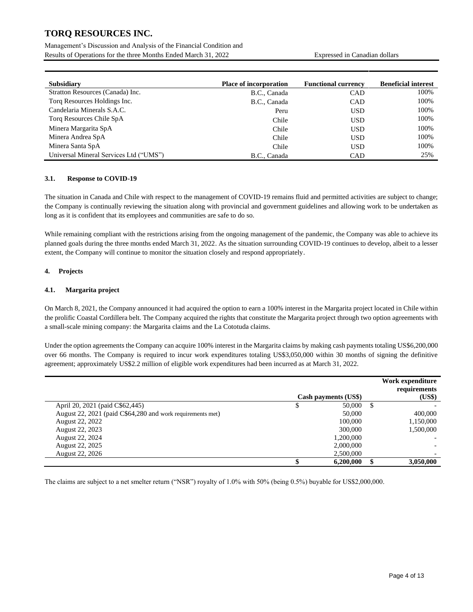Management's Discussion and Analysis of the Financial Condition and Results of Operations for the three Months Ended March 31, 2022 Expressed in Canadian dollars

| <b>Subsidiary</b>                      | <b>Place of incorporation</b> | <b>Functional currency</b> | <b>Beneficial interest</b> |
|----------------------------------------|-------------------------------|----------------------------|----------------------------|
| Stratton Resources (Canada) Inc.       | B.C., Canada                  | <b>CAD</b>                 | 100%                       |
| Torq Resources Holdings Inc.           | B.C., Canada                  | <b>CAD</b>                 | 100%                       |
| Candelaria Minerals S.A.C.             | Peru                          | <b>USD</b>                 | 100%                       |
| Torq Resources Chile SpA               | Chile                         | <b>USD</b>                 | 100%                       |
| Minera Margarita SpA                   | Chile                         | <b>USD</b>                 | 100%                       |
| Minera Andrea SpA                      | Chile                         | <b>USD</b>                 | 100%                       |
| Minera Santa SpA                       | Chile                         | <b>USD</b>                 | 100%                       |
| Universal Mineral Services Ltd ("UMS") | B.C., Canada                  | <b>CAD</b>                 | 25%                        |

## **3.1. Response to COVID-19**

The situation in Canada and Chile with respect to the management of COVID-19 remains fluid and permitted activities are subject to change; the Company is continually reviewing the situation along with provincial and government guidelines and allowing work to be undertaken as long as it is confident that its employees and communities are safe to do so.

While remaining compliant with the restrictions arising from the ongoing management of the pandemic, the Company was able to achieve its planned goals during the three months ended March 31, 2022. As the situation surrounding COVID-19 continues to develop, albeit to a lesser extent, the Company will continue to monitor the situation closely and respond appropriately.

# **4. Projects**

# **4.1. Margarita project**

On March 8, 2021, the Company announced it had acquired the option to earn a 100% interest in the Margarita project located in Chile within the prolific Coastal Cordillera belt. The Company acquired the rights that constitute the Margarita project through two option agreements with a small-scale mining company: the Margarita claims and the La Cototuda claims.

Under the option agreements the Company can acquire 100% interest in the Margarita claims by making cash payments totaling US\$6,200,000 over 66 months. The Company is required to incur work expenditures totaling US\$3,050,000 within 30 months of signing the definitive agreement; approximately US\$2.2 million of eligible work expenditures had been incurred as at March 31, 2022.

|                                                            | Cash payments (US\$) |    | Work expenditure<br>requirements<br>(US\$) |
|------------------------------------------------------------|----------------------|----|--------------------------------------------|
| April 20, 2021 (paid C\$62,445)                            | 50,000               | -S |                                            |
| August 22, 2021 (paid C\$64,280 and work requirements met) | 50,000               |    | 400,000                                    |
| August 22, 2022                                            | 100,000              |    | 1,150,000                                  |
| August 22, 2023                                            | 300,000              |    | 1,500,000                                  |
| August 22, 2024                                            | 1.200.000            |    |                                            |
| August 22, 2025                                            | 2,000,000            |    |                                            |
| August 22, 2026                                            | 2,500,000            |    |                                            |
|                                                            | 6,200,000            |    | 3,050,000                                  |

The claims are subject to a net smelter return ("NSR") royalty of 1.0% with 50% (being 0.5%) buyable for US\$2,000,000.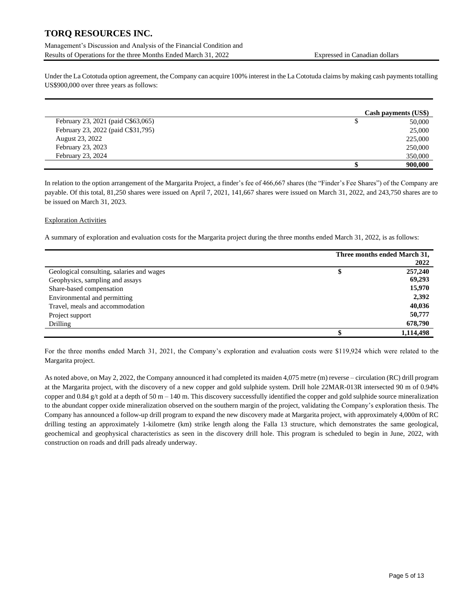Management's Discussion and Analysis of the Financial Condition and Results of Operations for the three Months Ended March 31, 2022 Expressed in Canadian dollars

Under the La Cototuda option agreement, the Company can acquire 100% interest in the La Cototuda claims by making cash payments totalling US\$900,000 over three years as follows:

|                                    | Cash payments (US\$) |
|------------------------------------|----------------------|
| February 23, 2021 (paid C\$63,065) | 50,000               |
| February 23, 2022 (paid C\$31,795) | 25,000               |
| August 23, 2022                    | 225,000              |
| February 23, 2023                  | 250,000              |
| February 23, 2024                  | 350,000              |
|                                    | 900,000              |

In relation to the option arrangement of the Margarita Project, a finder's fee of 466,667 shares (the "Finder's Fee Shares") of the Company are payable. Of this total, 81,250 shares were issued on April 7, 2021, 141,667 shares were issued on March 31, 2022, and 243,750 shares are to be issued on March 31, 2023.

# Exploration Activities

A summary of exploration and evaluation costs for the Margarita project during the three months ended March 31, 2022, is as follows:

|                                           |   | Three months ended March 31,<br>2022 |
|-------------------------------------------|---|--------------------------------------|
| Geological consulting, salaries and wages | Φ | 257,240                              |
| Geophysics, sampling and assays           |   | 69,293                               |
| Share-based compensation                  |   | 15,970                               |
| Environmental and permitting              |   | 2,392                                |
| Travel, meals and accommodation           |   | 40,036                               |
| Project support                           |   | 50,777                               |
| Drilling                                  |   | 678,790                              |
|                                           |   | 1,114,498                            |

For the three months ended March 31, 2021, the Company's exploration and evaluation costs were \$119,924 which were related to the Margarita project.

As noted above, on May 2, 2022, the Company announced it had completed its maiden 4,075 metre (m) reverse – circulation (RC) drill program at the Margarita project, with the discovery of a new copper and gold sulphide system. Drill hole 22MAR-013R intersected 90 m of 0.94% copper and  $0.84$  g/t gold at a depth of 50 m – 140 m. This discovery successfully identified the copper and gold sulphide source mineralization to the abundant copper oxide mineralization observed on the southern margin of the project, validating the Company's exploration thesis. The Company has announced a follow-up drill program to expand the new discovery made at Margarita project, with approximately 4,000m of RC drilling testing an approximately 1-kilometre (km) strike length along the Falla 13 structure, which demonstrates the same geological, geochemical and geophysical characteristics as seen in the discovery drill hole. This program is scheduled to begin in June, 2022, with construction on roads and drill pads already underway.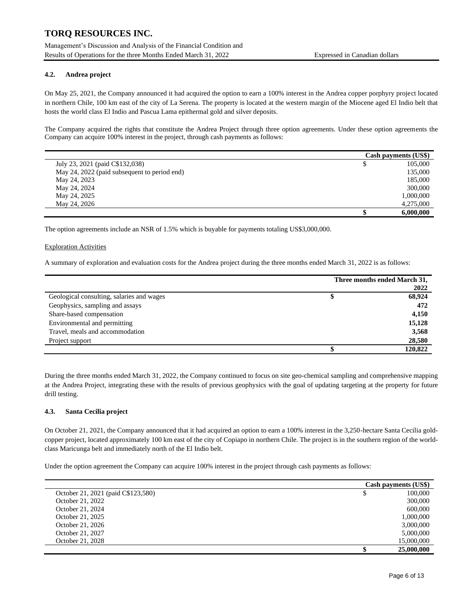Management's Discussion and Analysis of the Financial Condition and Results of Operations for the three Months Ended March 31, 2022 Expressed in Canadian dollars

## **4.2. Andrea project**

On May 25, 2021, the Company announced it had acquired the option to earn a 100% interest in the Andrea copper porphyry project located in northern Chile, 100 km east of the city of La Serena. The property is located at the western margin of the Miocene aged El Indio belt that hosts the world class El Indio and Pascua Lama epithermal gold and silver deposits.

The Company acquired the rights that constitute the Andrea Project through three option agreements. Under these option agreements the Company can acquire 100% interest in the project, through cash payments as follows:

|                                              | Cash payments (US\$) |
|----------------------------------------------|----------------------|
| July 23, 2021 (paid C\$132,038)              | 105,000              |
| May 24, 2022 (paid subsequent to period end) | 135,000              |
| May 24, 2023                                 | 185,000              |
| May 24, 2024                                 | 300,000              |
| May 24, 2025                                 | 1.000.000            |
| May 24, 2026                                 | 4,275,000            |
|                                              | 6,000,000            |

The option agreements include an NSR of 1.5% which is buyable for payments totaling US\$3,000,000.

#### Exploration Activities

Ĭ.

A summary of exploration and evaluation costs for the Andrea project during the three months ended March 31, 2022 is as follows:

|                                           |   | Three months ended March 31, |
|-------------------------------------------|---|------------------------------|
|                                           |   | 2022                         |
| Geological consulting, salaries and wages | ъ | 68,924                       |
| Geophysics, sampling and assays           |   | 472                          |
| Share-based compensation                  |   | 4,150                        |
| Environmental and permitting              |   | 15,128                       |
| Travel, meals and accommodation           |   | 3,568                        |
| Project support                           |   | 28,580                       |
|                                           |   | 120,822                      |

During the three months ended March 31, 2022, the Company continued to focus on site geo-chemical sampling and comprehensive mapping at the Andrea Project, integrating these with the results of previous geophysics with the goal of updating targeting at the property for future drill testing.

#### **4.3. Santa Cecilia project**

On October 21, 2021, the Company announced that it had acquired an option to earn a 100% interest in the 3,250-hectare Santa Cecilia goldcopper project, located approximately 100 km east of the city of Copiapo in northern Chile. The project is in the southern region of the worldclass Maricunga belt and immediately north of the El Indio belt.

Under the option agreement the Company can acquire 100% interest in the project through cash payments as follows:

|                                    | Cash payments (US\$) |
|------------------------------------|----------------------|
| October 21, 2021 (paid C\$123,580) | 100,000              |
| October 21, 2022                   | 300,000              |
| October 21, 2024                   | 600,000              |
| October 21, 2025                   | 1,000,000            |
| October 21, 2026                   | 3,000,000            |
| October 21, 2027                   | 5,000,000            |
| October 21, 2028                   | 15,000,000           |
|                                    | 25,000,000           |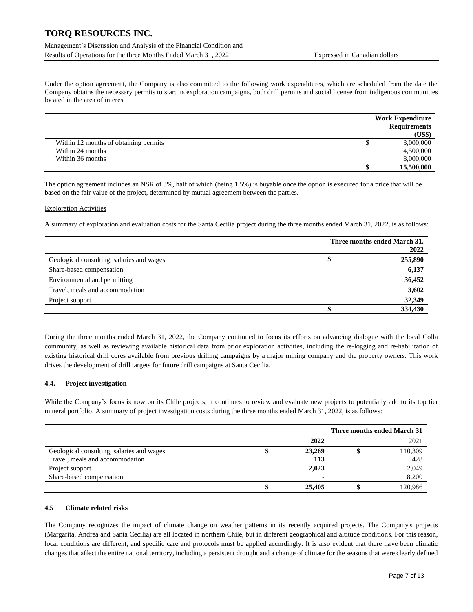# Management's Discussion and Analysis of the Financial Condition and Results of Operations for the three Months Ended March 31, 2022 Expressed in Canadian dollars

Under the option agreement, the Company is also committed to the following work expenditures, which are scheduled from the date the Company obtains the necessary permits to start its exploration campaigns, both drill permits and social license from indigenous communities located in the area of interest.

|                                       | <b>Work Expenditure</b><br><b>Requirements</b><br>(US\$) |
|---------------------------------------|----------------------------------------------------------|
| Within 12 months of obtaining permits | 3,000,000                                                |
| Within 24 months                      | 4,500,000                                                |
| Within 36 months                      | 8,000,000                                                |
|                                       | 15,500,000                                               |

The option agreement includes an NSR of 3%, half of which (being 1.5%) is buyable once the option is executed for a price that will be based on the fair value of the project, determined by mutual agreement between the parties.

#### Exploration Activities

A summary of exploration and evaluation costs for the Santa Cecilia project during the three months ended March 31, 2022, is as follows:

|                                           | Three months ended March 31, |
|-------------------------------------------|------------------------------|
|                                           | 2022                         |
| Geological consulting, salaries and wages | \$<br>255,890                |
| Share-based compensation                  | 6,137                        |
| Environmental and permitting              | 36,452                       |
| Travel, meals and accommodation           | 3,602                        |
| Project support                           | 32,349                       |
|                                           | 334,430                      |

During the three months ended March 31, 2022, the Company continued to focus its efforts on advancing dialogue with the local Colla community, as well as reviewing available historical data from prior exploration activities, including the re-logging and re-habilitation of existing historical drill cores available from previous drilling campaigns by a major mining company and the property owners. This work drives the development of drill targets for future drill campaigns at Santa Cecilia.

# **4.4. Project investigation**

While the Company's focus is now on its Chile projects, it continues to review and evaluate new projects to potentially add to its top tier mineral portfolio. A summary of project investigation costs during the three months ended March 31, 2022, is as follows:

|                                           |        | Three months ended March 31 |
|-------------------------------------------|--------|-----------------------------|
|                                           | 2022   | 2021                        |
| Geological consulting, salaries and wages | 23,269 | 110,309                     |
| Travel, meals and accommodation           | 113    | 428                         |
| Project support                           | 2,023  | 2,049                       |
| Share-based compensation                  |        | 8,200                       |
|                                           | 25,405 | 120,986                     |

#### **4.5 Climate related risks**

The Company recognizes the impact of climate change on weather patterns in its recently acquired projects. The Company's projects (Margarita, Andrea and Santa Cecilia) are all located in northern Chile, but in different geographical and altitude conditions. For this reason, local conditions are different, and specific care and protocols must be applied accordingly. It is also evident that there have been climatic changes that affect the entire national territory, including a persistent drought and a change of climate for the seasons that were clearly defined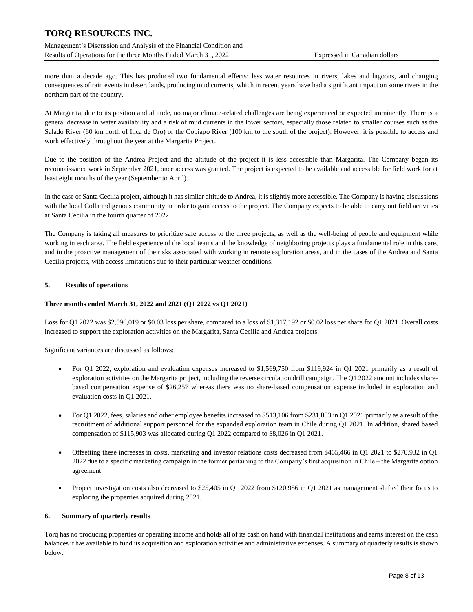Management's Discussion and Analysis of the Financial Condition and Results of Operations for the three Months Ended March 31, 2022 Expressed in Canadian dollars

more than a decade ago. This has produced two fundamental effects: less water resources in rivers, lakes and lagoons, and changing consequences of rain events in desert lands, producing mud currents, which in recent years have had a significant impact on some rivers in the northern part of the country.

At Margarita, due to its position and altitude, no major climate-related challenges are being experienced or expected imminently. There is a general decrease in water availability and a risk of mud currents in the lower sectors, especially those related to smaller courses such as the Salado River (60 km north of Inca de Oro) or the Copiapo River (100 km to the south of the project). However, it is possible to access and work effectively throughout the year at the Margarita Project.

Due to the position of the Andrea Project and the altitude of the project it is less accessible than Margarita. The Company began its reconnaissance work in September 2021, once access was granted. The project is expected to be available and accessible for field work for at least eight months of the year (September to April).

In the case of Santa Cecilia project, although it has similar altitude to Andrea, it is slightly more accessible. The Company is having discussions with the local Colla indigenous community in order to gain access to the project. The Company expects to be able to carry out field activities at Santa Cecilia in the fourth quarter of 2022.

The Company is taking all measures to prioritize safe access to the three projects, as well as the well-being of people and equipment while working in each area. The field experience of the local teams and the knowledge of neighboring projects plays a fundamental role in this care, and in the proactive management of the risks associated with working in remote exploration areas, and in the cases of the Andrea and Santa Cecilia projects, with access limitations due to their particular weather conditions.

# **5. Results of operations**

#### **Three months ended March 31, 2022 and 2021 (Q1 2022 vs Q1 2021)**

Loss for Q1 2022 was \$2,596,019 or \$0.03 loss per share, compared to a loss of \$1,317,192 or \$0.02 loss per share for Q1 2021. Overall costs increased to support the exploration activities on the Margarita, Santa Cecilia and Andrea projects.

Significant variances are discussed as follows:

- For Q1 2022, exploration and evaluation expenses increased to \$1,569,750 from \$119,924 in Q1 2021 primarily as a result of exploration activities on the Margarita project, including the reverse circulation drill campaign. The Q1 2022 amount includes sharebased compensation expense of \$26,257 whereas there was no share-based compensation expense included in exploration and evaluation costs in Q1 2021.
- For Q1 2022, fees, salaries and other employee benefits increased to \$513,106 from \$231,883 in Q1 2021 primarily as a result of the recruitment of additional support personnel for the expanded exploration team in Chile during Q1 2021. In addition, shared based compensation of \$115,903 was allocated during Q1 2022 compared to \$8,026 in Q1 2021.
- Offsetting these increases in costs, marketing and investor relations costs decreased from \$465,466 in O1 2021 to \$270,932 in O1 2022 due to a specific marketing campaign in the former pertaining to the Company's first acquisition in Chile – the Margarita option agreement.
- Project investigation costs also decreased to \$25,405 in Q1 2022 from \$120,986 in Q1 2021 as management shifted their focus to exploring the properties acquired during 2021.

#### **6. Summary of quarterly results**

Torq has no producing properties or operating income and holds all of its cash on hand with financial institutions and earns interest on the cash balances it has available to fund its acquisition and exploration activities and administrative expenses. A summary of quarterly results is shown below: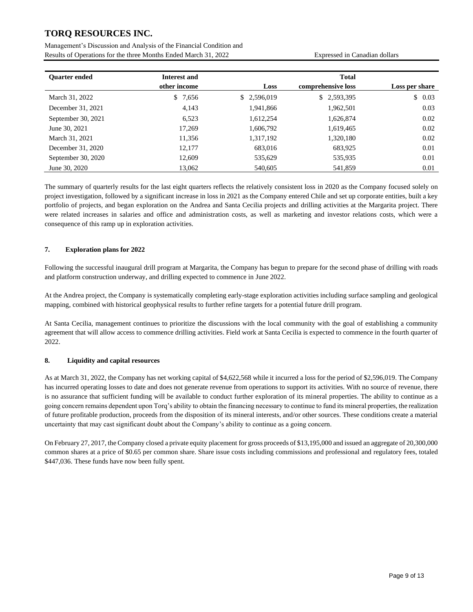Management's Discussion and Analysis of the Financial Condition and Results of Operations for the three Months Ended March 31, 2022 Expressed in Canadian dollars

| <b>Ouarter ended</b> | Interest and |             | <b>Total</b>       |                |
|----------------------|--------------|-------------|--------------------|----------------|
|                      | other income | <b>Loss</b> | comprehensive loss | Loss per share |
| March 31, 2022       | 7,656<br>S.  | \$2,596,019 | \$2,593,395        | \$0.03         |
| December 31, 2021    | 4,143        | 1,941,866   | 1,962,501          | 0.03           |
| September 30, 2021   | 6,523        | 1,612,254   | 1,626,874          | 0.02           |
| June 30, 2021        | 17,269       | 1,606,792   | 1,619,465          | 0.02           |
| March 31, 2021       | 11,356       | 1,317,192   | 1,320,180          | 0.02           |
| December 31, 2020    | 12,177       | 683,016     | 683,925            | 0.01           |
| September 30, 2020   | 12,609       | 535,629     | 535,935            | 0.01           |
| June 30, 2020        | 13.062       | 540,605     | 541.859            | 0.01           |

The summary of quarterly results for the last eight quarters reflects the relatively consistent loss in 2020 as the Company focused solely on project investigation, followed by a significant increase in loss in 2021 as the Company entered Chile and set up corporate entities, built a key portfolio of projects, and began exploration on the Andrea and Santa Cecilia projects and drilling activities at the Margarita project. There were related increases in salaries and office and administration costs, as well as marketing and investor relations costs, which were a consequence of this ramp up in exploration activities.

# **7. Exploration plans for 2022**

Following the successful inaugural drill program at Margarita, the Company has begun to prepare for the second phase of drilling with roads and platform construction underway, and drilling expected to commence in June 2022.

At the Andrea project, the Company is systematically completing early-stage exploration activities including surface sampling and geological mapping, combined with historical geophysical results to further refine targets for a potential future drill program.

At Santa Cecilia, management continues to prioritize the discussions with the local community with the goal of establishing a community agreement that will allow access to commence drilling activities. Field work at Santa Cecilia is expected to commence in the fourth quarter of 2022.

# **8. Liquidity and capital resources**

As at March 31, 2022, the Company has net working capital of \$4,622,568 while it incurred a loss for the period of \$2,596,019. The Company has incurred operating losses to date and does not generate revenue from operations to support its activities. With no source of revenue, there is no assurance that sufficient funding will be available to conduct further exploration of its mineral properties. The ability to continue as a going concern remains dependent upon Torq's ability to obtain the financing necessary to continue to fund its mineral properties, the realization of future profitable production, proceeds from the disposition of its mineral interests, and/or other sources. These conditions create a material uncertainty that may cast significant doubt about the Company's ability to continue as a going concern.

On February 27, 2017, the Company closed a private equity placement for gross proceeds of \$13,195,000 and issued an aggregate of 20,300,000 common shares at a price of \$0.65 per common share. Share issue costs including commissions and professional and regulatory fees, totaled \$447,036. These funds have now been fully spent.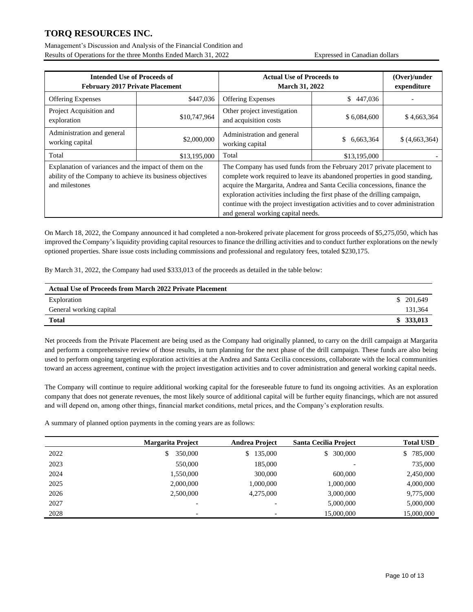Management's Discussion and Analysis of the Financial Condition and Results of Operations for the three Months Ended March 31, 2022 Expressed in Canadian dollars

| <b>Intended Use of Proceeds of</b><br><b>February 2017 Private Placement</b>                                                          |              | <b>Actual Use of Proceeds to</b><br><b>March 31, 2022</b>                                                                                                                                                                                                                                                                                                                                                                              |                  | (Over)/under<br>expenditure |
|---------------------------------------------------------------------------------------------------------------------------------------|--------------|----------------------------------------------------------------------------------------------------------------------------------------------------------------------------------------------------------------------------------------------------------------------------------------------------------------------------------------------------------------------------------------------------------------------------------------|------------------|-----------------------------|
| <b>Offering Expenses</b>                                                                                                              | \$447,036    | <b>Offering Expenses</b>                                                                                                                                                                                                                                                                                                                                                                                                               | 447,036<br>\$    |                             |
| Project Acquisition and<br>exploration                                                                                                | \$10,747,964 | Other project investigation<br>and acquisition costs                                                                                                                                                                                                                                                                                                                                                                                   | \$6,084,600      | \$4,663,364                 |
| Administration and general<br>working capital                                                                                         | \$2,000,000  | Administration and general<br>working capital                                                                                                                                                                                                                                                                                                                                                                                          | 6.663.364<br>\$. | \$ (4,663,364)              |
| Total                                                                                                                                 | \$13,195,000 | Total                                                                                                                                                                                                                                                                                                                                                                                                                                  | \$13,195,000     |                             |
| Explanation of variances and the impact of them on the<br>ability of the Company to achieve its business objectives<br>and milestones |              | The Company has used funds from the February 2017 private placement to<br>complete work required to leave its abandoned properties in good standing,<br>acquire the Margarita, Andrea and Santa Cecilia concessions, finance the<br>exploration activities including the first phase of the drilling campaign,<br>continue with the project investigation activities and to cover administration<br>and general working capital needs. |                  |                             |

On March 18, 2022, the Company announced it had completed a non-brokered private placement for gross proceeds of \$5,275,050, which has improved the Company's liquidity providing capital resources to finance the drilling activities and to conduct further explorations on the newly optioned properties. Share issue costs including commissions and professional and regulatory fees, totaled \$230,175.

By March 31, 2022, the Company had used \$333,013 of the proceeds as detailed in the table below:

| <b>Actual Use of Proceeds from March 2022 Private Placement</b> |           |
|-----------------------------------------------------------------|-----------|
| Exploration                                                     | \$201.649 |
| General working capital                                         | 131,364   |
| <b>Total</b>                                                    | \$333,013 |

Net proceeds from the Private Placement are being used as the Company had originally planned, to carry on the drill campaign at Margarita and perform a comprehensive review of those results, in turn planning for the next phase of the drill campaign. These funds are also being used to perform ongoing targeting exploration activities at the Andrea and Santa Cecilia concessions, collaborate with the local communities toward an access agreement, continue with the project investigation activities and to cover administration and general working capital needs.

The Company will continue to require additional working capital for the foreseeable future to fund its ongoing activities. As an exploration company that does not generate revenues, the most likely source of additional capital will be further equity financings, which are not assured and will depend on, among other things, financial market conditions, metal prices, and the Company's exploration results.

A summary of planned option payments in the coming years are as follows:

|      | <b>Margarita Project</b> | <b>Andrea Project</b> | <b>Santa Cecilia Project</b> | <b>Total USD</b> |
|------|--------------------------|-----------------------|------------------------------|------------------|
| 2022 | 350,000<br>\$            | 135,000<br>\$         | 300,000<br>\$                | 785,000<br>\$    |
| 2023 | 550,000                  | 185,000               |                              | 735,000          |
| 2024 | 1,550,000                | 300,000               | 600,000                      | 2,450,000        |
| 2025 | 2,000,000                | 1,000,000             | 1,000,000                    | 4,000,000        |
| 2026 | 2,500,000                | 4,275,000             | 3,000,000                    | 9,775,000        |
| 2027 | $\overline{\phantom{0}}$ |                       | 5,000,000                    | 5,000,000        |
| 2028 | $\overline{\phantom{0}}$ |                       | 15,000,000                   | 15,000,000       |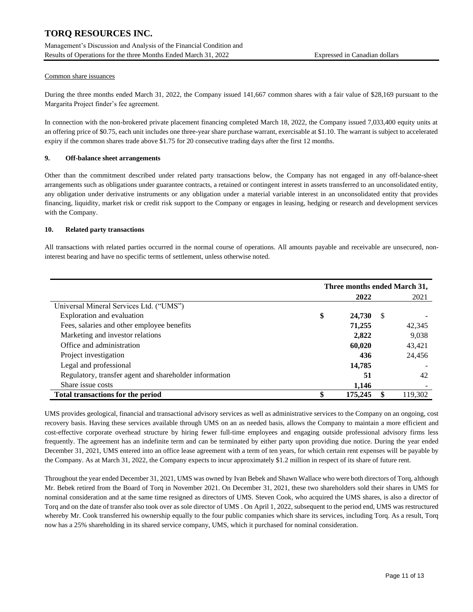Management's Discussion and Analysis of the Financial Condition and Results of Operations for the three Months Ended March 31, 2022 Expressed in Canadian dollars

## Common share issuances

During the three months ended March 31, 2022, the Company issued 141,667 common shares with a fair value of \$28,169 pursuant to the Margarita Project finder's fee agreement.

In connection with the non-brokered private placement financing completed March 18, 2022, the Company issued 7,033,400 equity units at an offering price of \$0.75, each unit includes one three-year share purchase warrant, exercisable at \$1.10. The warrant is subject to accelerated expiry if the common shares trade above \$1.75 for 20 consecutive trading days after the first 12 months.

# **9. Off-balance sheet arrangements**

Other than the commitment described under related party transactions below, the Company has not engaged in any off-balance-sheet arrangements such as obligations under guarantee contracts, a retained or contingent interest in assets transferred to an unconsolidated entity, any obligation under derivative instruments or any obligation under a material variable interest in an unconsolidated entity that provides financing, liquidity, market risk or credit risk support to the Company or engages in leasing, hedging or research and development services with the Company.

#### **10. Related party transactions**

All transactions with related parties occurred in the normal course of operations. All amounts payable and receivable are unsecured, noninterest bearing and have no specific terms of settlement, unless otherwise noted.

|                                                        | Three months ended March 31, |         |    |         |
|--------------------------------------------------------|------------------------------|---------|----|---------|
|                                                        |                              | 2022    |    | 2021    |
| Universal Mineral Services Ltd. ("UMS")                |                              |         |    |         |
| Exploration and evaluation                             | \$                           | 24,730  | -S |         |
| Fees, salaries and other employee benefits             |                              | 71,255  |    | 42.345  |
| Marketing and investor relations                       |                              | 2,822   |    | 9,038   |
| Office and administration                              |                              | 60,020  |    | 43,421  |
| Project investigation                                  |                              | 436     |    | 24.456  |
| Legal and professional                                 |                              | 14,785  |    |         |
| Regulatory, transfer agent and shareholder information |                              | 51      |    | 42      |
| Share issue costs                                      |                              | 1.146   |    |         |
| <b>Total transactions for the period</b>               |                              | 175,245 |    | 119,302 |

UMS provides geological, financial and transactional advisory services as well as administrative services to the Company on an ongoing, cost recovery basis. Having these services available through UMS on an as needed basis, allows the Company to maintain a more efficient and cost-effective corporate overhead structure by hiring fewer full-time employees and engaging outside professional advisory firms less frequently. The agreement has an indefinite term and can be terminated by either party upon providing due notice. During the year ended December 31, 2021, UMS entered into an office lease agreement with a term of ten years, for which certain rent expenses will be payable by the Company. As at March 31, 2022, the Company expects to incur approximately \$1.2 million in respect of its share of future rent.

Throughout the year ended December 31, 2021, UMS was owned by Ivan Bebek and Shawn Wallace who were both directors of Torq, although Mr. Bebek retired from the Board of Torq in November 2021. On December 31, 2021, these two shareholders sold their shares in UMS for nominal consideration and at the same time resigned as directors of UMS. Steven Cook, who acquired the UMS shares, is also a director of Torq and on the date of transfer also took over as sole director of UMS . On April 1, 2022, subsequent to the period end, UMS was restructured whereby Mr. Cook transferred his ownership equally to the four public companies which share its services, including Torq. As a result, Torq now has a 25% shareholding in its shared service company, UMS, which it purchased for nominal consideration.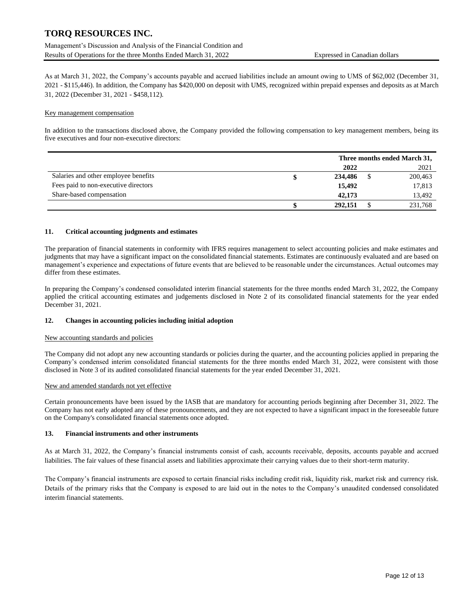Management's Discussion and Analysis of the Financial Condition and Results of Operations for the three Months Ended March 31, 2022 Expressed in Canadian dollars

As at March 31, 2022, the Company's accounts payable and accrued liabilities include an amount owing to UMS of \$62,002 (December 31, 2021 - \$115,446). In addition, the Company has \$420,000 on deposit with UMS, recognized within prepaid expenses and deposits as at March 31, 2022 (December 31, 2021 - \$458,112).

#### Key management compensation

In addition to the transactions disclosed above, the Company provided the following compensation to key management members, being its five executives and four non-executive directors:

|                                      | Three months ended March 31, |  |         |
|--------------------------------------|------------------------------|--|---------|
|                                      | 2022                         |  | 2021    |
| Salaries and other employee benefits | 234,486                      |  | 200,463 |
| Fees paid to non-executive directors | 15,492                       |  | 17,813  |
| Share-based compensation             | 42,173                       |  | 13,492  |
|                                      | 292,151                      |  | 231,768 |

#### **11. Critical accounting judgments and estimates**

The preparation of financial statements in conformity with IFRS requires management to select accounting policies and make estimates and judgments that may have a significant impact on the consolidated financial statements. Estimates are continuously evaluated and are based on management's experience and expectations of future events that are believed to be reasonable under the circumstances. Actual outcomes may differ from these estimates.

In preparing the Company's condensed consolidated interim financial statements for the three months ended March 31, 2022, the Company applied the critical accounting estimates and judgements disclosed in Note 2 of its consolidated financial statements for the year ended December 31, 2021.

#### **12. Changes in accounting policies including initial adoption**

#### New accounting standards and policies

The Company did not adopt any new accounting standards or policies during the quarter, and the accounting policies applied in preparing the Company's condensed interim consolidated financial statements for the three months ended March 31, 2022, were consistent with those disclosed in Note 3 of its audited consolidated financial statements for the year ended December 31, 2021.

#### New and amended standards not yet effective

Certain pronouncements have been issued by the IASB that are mandatory for accounting periods beginning after December 31, 2022. The Company has not early adopted any of these pronouncements, and they are not expected to have a significant impact in the foreseeable future on the Company's consolidated financial statements once adopted.

#### **13. Financial instruments and other instruments**

As at March 31, 2022, the Company's financial instruments consist of cash, accounts receivable, deposits, accounts payable and accrued liabilities. The fair values of these financial assets and liabilities approximate their carrying values due to their short-term maturity.

The Company's financial instruments are exposed to certain financial risks including credit risk, liquidity risk, market risk and currency risk. Details of the primary risks that the Company is exposed to are laid out in the notes to the Company's unaudited condensed consolidated interim financial statements.